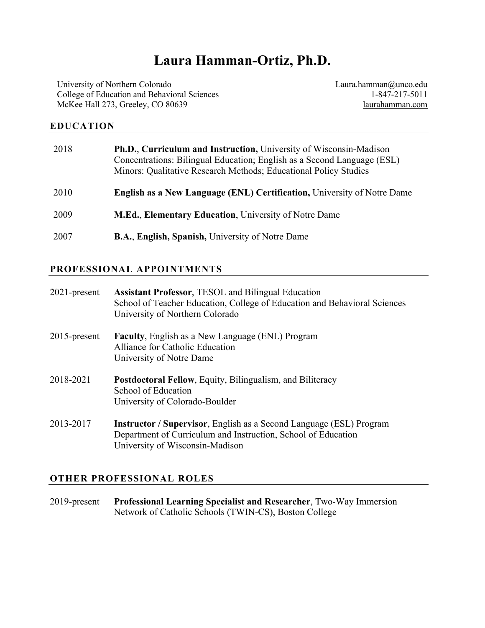# **Laura Hamman-Ortiz, Ph.D.**

University of Northern Colorado College of Education and Behavioral Sciences McKee Hall 273, Greeley, CO 80639

Laura.hamman@unco.edu 1-847-217-5011 laurahamman.com

# **EDUCATION**

| 2018 | Ph.D., Curriculum and Instruction, University of Wisconsin-Madison<br>Concentrations: Bilingual Education; English as a Second Language (ESL)<br>Minors: Qualitative Research Methods; Educational Policy Studies |
|------|-------------------------------------------------------------------------------------------------------------------------------------------------------------------------------------------------------------------|
| 2010 | <b>English as a New Language (ENL) Certification, University of Notre Dame</b>                                                                                                                                    |
| 2009 | <b>M.Ed., Elementary Education, University of Notre Dame</b>                                                                                                                                                      |
| 2007 | <b>B.A., English, Spanish, University of Notre Dame</b>                                                                                                                                                           |

# **PROFESSIONAL APPOINTMENTS**

| $2021$ -present | <b>Assistant Professor, TESOL and Bilingual Education</b><br>School of Teacher Education, College of Education and Behavioral Sciences<br>University of Northern Colorado      |
|-----------------|--------------------------------------------------------------------------------------------------------------------------------------------------------------------------------|
| $2015$ -present | <b>Faculty, English as a New Language (ENL) Program</b><br>Alliance for Catholic Education<br>University of Notre Dame                                                         |
| 2018-2021       | Postdoctoral Fellow, Equity, Bilingualism, and Biliteracy<br>School of Education<br>University of Colorado-Boulder                                                             |
| 2013-2017       | <b>Instructor / Supervisor, English as a Second Language (ESL) Program</b><br>Department of Curriculum and Instruction, School of Education<br>University of Wisconsin-Madison |

# **OTHER PROFESSIONAL ROLES**

2019-present **Professional Learning Specialist and Researcher**, Two-Way Immersion Network of Catholic Schools (TWIN-CS), Boston College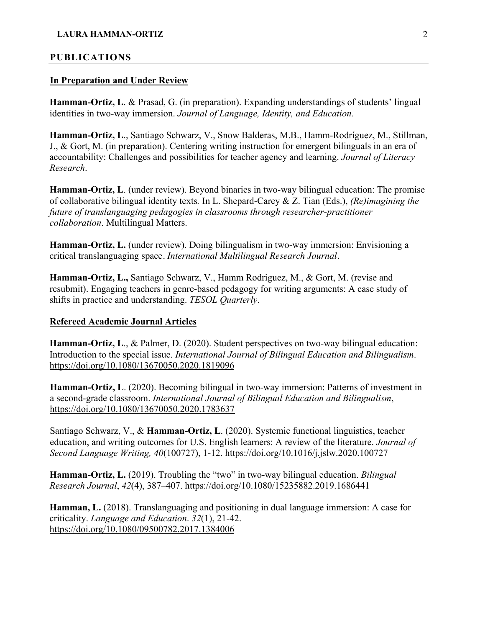## **PUBLICATIONS**

#### **In Preparation and Under Review**

**Hamman-Ortiz, L**. & Prasad, G. (in preparation). Expanding understandings of students' lingual identities in two-way immersion. *Journal of Language, Identity, and Education.*

**Hamman-Ortiz, L**., Santiago Schwarz, V., Snow Balderas, M.B., Hamm-Rodríguez, M., Stillman, J., & Gort, M. (in preparation). Centering writing instruction for emergent bilinguals in an era of accountability: Challenges and possibilities for teacher agency and learning. *Journal of Literacy Research*.

**Hamman-Ortiz, L**. (under review). Beyond binaries in two-way bilingual education: The promise of collaborative bilingual identity texts*.* In L. Shepard-Carey & Z. Tian (Eds.), *(Re)imagining the future of translanguaging pedagogies in classrooms through researcher-practitioner collaboration*. Multilingual Matters.

**Hamman-Ortiz, L.** (under review). Doing bilingualism in two-way immersion: Envisioning a critical translanguaging space. *International Multilingual Research Journal*.

**Hamman-Ortiz, L.,** Santiago Schwarz, V., Hamm Rodriguez, M., & Gort, M. (revise and resubmit). Engaging teachers in genre-based pedagogy for writing arguments: A case study of shifts in practice and understanding. *TESOL Quarterly*.

#### **Refereed Academic Journal Articles**

**Hamman-Ortiz, L**., & Palmer, D. (2020). Student perspectives on two-way bilingual education: Introduction to the special issue. *International Journal of Bilingual Education and Bilingualism*. https://doi.org/10.1080/13670050.2020.1819096

**Hamman-Ortiz, L**. (2020). Becoming bilingual in two-way immersion: Patterns of investment in a second-grade classroom. *International Journal of Bilingual Education and Bilingualism*, https://doi.org/10.1080/13670050.2020.1783637

Santiago Schwarz, V., & **Hamman-Ortiz, L**. (2020). Systemic functional linguistics, teacher education, and writing outcomes for U.S. English learners: A review of the literature. *Journal of Second Language Writing, 40*(100727), 1-12. https://doi.org/10.1016/j.jslw.2020.100727

**Hamman-Ortiz, L.** (2019). Troubling the "two" in two-way bilingual education. *Bilingual Research Journal*, *42*(4), 387–407. https://doi.org/10.1080/15235882.2019.1686441

**Hamman, L.** (2018). Translanguaging and positioning in dual language immersion: A case for criticality. *Language and Education*. *32*(1), 21-42. https://doi.org/10.1080/09500782.2017.1384006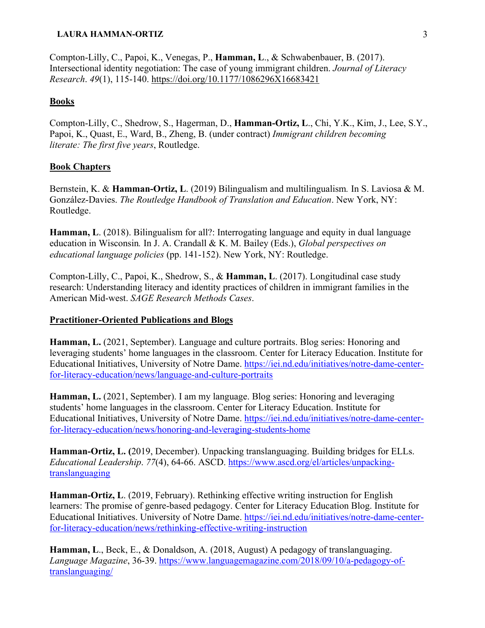Compton-Lilly, C., Papoi, K., Venegas, P., **Hamman, L**., & Schwabenbauer, B. (2017). Intersectional identity negotiation: The case of young immigrant children. *Journal of Literacy Research*. *49*(1), 115-140. https://doi.org/10.1177/1086296X16683421

## **Books**

Compton-Lilly, C., Shedrow, S., Hagerman, D., **Hamman-Ortiz, L**., Chi, Y.K., Kim, J., Lee, S.Y., Papoi, K., Quast, E., Ward, B., Zheng, B. (under contract) *Immigrant children becoming literate: The first five years*, Routledge.

#### **Book Chapters**

Bernstein, K. & **Hamman-Ortiz, L**. (2019) Bilingualism and multilingualism*.* In S. Laviosa & M. González-Davies. *The Routledge Handbook of Translation and Education*. New York, NY: Routledge.

**Hamman, L**. (2018). Bilingualism for all?: Interrogating language and equity in dual language education in Wisconsin*.* In J. A. Crandall & K. M. Bailey (Eds.), *Global perspectives on educational language policies* (pp. 141-152). New York, NY: Routledge.

Compton-Lilly, C., Papoi, K., Shedrow, S., & **Hamman, L**. (2017). Longitudinal case study research: Understanding literacy and identity practices of children in immigrant families in the American Mid-west. *SAGE Research Methods Cases*.

#### **Practitioner-Oriented Publications and Blogs**

**Hamman, L.** (2021, September). Language and culture portraits. Blog series: Honoring and leveraging students' home languages in the classroom. Center for Literacy Education. Institute for Educational Initiatives, University of Notre Dame. https://iei.nd.edu/initiatives/notre-dame-centerfor-literacy-education/news/language-and-culture-portraits

**Hamman, L.** (2021, September). I am my language. Blog series: Honoring and leveraging students' home languages in the classroom. Center for Literacy Education. Institute for Educational Initiatives, University of Notre Dame. https://iei.nd.edu/initiatives/notre-dame-centerfor-literacy-education/news/honoring-and-leveraging-students-home

**Hamman-Ortiz, L. (**2019, December). Unpacking translanguaging. Building bridges for ELLs. *Educational Leadership*. *77*(4), 64-66. ASCD. https://www.ascd.org/el/articles/unpackingtranslanguaging

**Hamman-Ortiz, L**. (2019, February). Rethinking effective writing instruction for English learners: The promise of genre-based pedagogy. Center for Literacy Education Blog. Institute for Educational Initiatives. University of Notre Dame. https://iei.nd.edu/initiatives/notre-dame-centerfor-literacy-education/news/rethinking-effective-writing-instruction

**Hamman, L**., Beck, E., & Donaldson, A. (2018, August) A pedagogy of translanguaging. *Language Magazine*, 36-39. https://www.languagemagazine.com/2018/09/10/a-pedagogy-oftranslanguaging/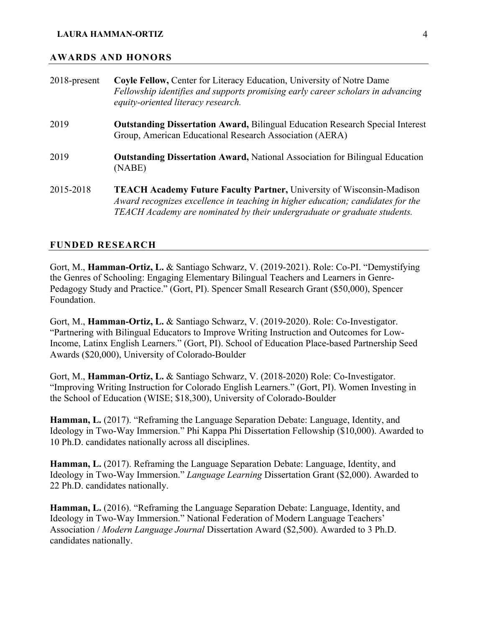#### **AWARDS AND HONORS**

| $2018$ -present | Coyle Fellow, Center for Literacy Education, University of Notre Dame<br>Fellowship identifies and supports promising early career scholars in advancing<br>equity-oriented literacy research.                                              |
|-----------------|---------------------------------------------------------------------------------------------------------------------------------------------------------------------------------------------------------------------------------------------|
| 2019            | <b>Outstanding Dissertation Award, Bilingual Education Research Special Interest</b><br>Group, American Educational Research Association (AERA)                                                                                             |
| 2019            | <b>Outstanding Dissertation Award, National Association for Bilingual Education</b><br>(NABE)                                                                                                                                               |
| 2015-2018       | <b>TEACH Academy Future Faculty Partner, University of Wisconsin-Madison</b><br>Award recognizes excellence in teaching in higher education; candidates for the<br>TEACH Academy are nominated by their undergraduate or graduate students. |

#### **FUNDED RESEARCH**

Gort, M., **Hamman-Ortiz, L.** & Santiago Schwarz, V. (2019-2021). Role: Co-PI. "Demystifying the Genres of Schooling: Engaging Elementary Bilingual Teachers and Learners in Genre-Pedagogy Study and Practice." (Gort, PI). Spencer Small Research Grant (\$50,000), Spencer Foundation.

Gort, M., **Hamman-Ortiz, L.** & Santiago Schwarz, V. (2019-2020). Role: Co-Investigator. "Partnering with Bilingual Educators to Improve Writing Instruction and Outcomes for Low-Income, Latinx English Learners." (Gort, PI). School of Education Place-based Partnership Seed Awards (\$20,000), University of Colorado-Boulder

Gort, M., **Hamman-Ortiz, L.** & Santiago Schwarz, V. (2018-2020) Role: Co-Investigator. "Improving Writing Instruction for Colorado English Learners." (Gort, PI). Women Investing in the School of Education (WISE; \$18,300), University of Colorado-Boulder

**Hamman, L.** (2017). "Reframing the Language Separation Debate: Language, Identity, and Ideology in Two-Way Immersion." Phi Kappa Phi Dissertation Fellowship (\$10,000). Awarded to 10 Ph.D. candidates nationally across all disciplines.

**Hamman, L.** (2017). Reframing the Language Separation Debate: Language, Identity, and Ideology in Two-Way Immersion." *Language Learning* Dissertation Grant (\$2,000). Awarded to 22 Ph.D. candidates nationally.

**Hamman, L.** (2016). "Reframing the Language Separation Debate: Language, Identity, and Ideology in Two-Way Immersion." National Federation of Modern Language Teachers' Association / *Modern Language Journal* Dissertation Award (\$2,500). Awarded to 3 Ph.D. candidates nationally.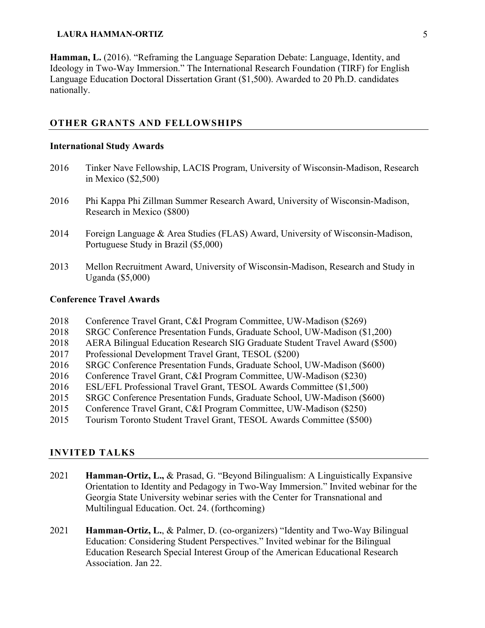**Hamman, L.** (2016). "Reframing the Language Separation Debate: Language, Identity, and Ideology in Two-Way Immersion." The International Research Foundation (TIRF) for English Language Education Doctoral Dissertation Grant (\$1,500). Awarded to 20 Ph.D. candidates nationally.

# **OTHER GRANTS AND FELLOWSHIPS**

#### **International Study Awards**

- 2016 Tinker Nave Fellowship, LACIS Program, University of Wisconsin-Madison, Research in Mexico (\$2,500)
- 2016 Phi Kappa Phi Zillman Summer Research Award, University of Wisconsin-Madison, Research in Mexico (\$800)
- 2014 Foreign Language & Area Studies (FLAS) Award, University of Wisconsin-Madison, Portuguese Study in Brazil (\$5,000)
- 2013 Mellon Recruitment Award, University of Wisconsin-Madison, Research and Study in Uganda (\$5,000)

# **Conference Travel Awards**

- 2018 Conference Travel Grant, C&I Program Committee, UW-Madison (\$269)
- 2018 SRGC Conference Presentation Funds, Graduate School, UW-Madison (\$1,200)
- 2018 AERA Bilingual Education Research SIG Graduate Student Travel Award (\$500)
- 2017 Professional Development Travel Grant, TESOL (\$200)
- 2016 SRGC Conference Presentation Funds, Graduate School, UW-Madison (\$600)
- 2016 Conference Travel Grant, C&I Program Committee, UW-Madison (\$230)
- 2016 ESL/EFL Professional Travel Grant, TESOL Awards Committee (\$1,500)
- 2015 SRGC Conference Presentation Funds, Graduate School, UW-Madison (\$600)
- 2015 Conference Travel Grant, C&I Program Committee, UW-Madison (\$250)
- 2015 Tourism Toronto Student Travel Grant, TESOL Awards Committee (\$500)

## **INVITED TALKS**

- 2021 **Hamman-Ortiz, L.,** & Prasad, G. "Beyond Bilingualism: A Linguistically Expansive Orientation to Identity and Pedagogy in Two-Way Immersion." Invited webinar for the Georgia State University webinar series with the Center for Transnational and Multilingual Education. Oct. 24. (forthcoming)
- 2021 **Hamman-Ortiz, L.**, & Palmer, D. (co-organizers) "Identity and Two-Way Bilingual Education: Considering Student Perspectives." Invited webinar for the Bilingual Education Research Special Interest Group of the American Educational Research Association. Jan 22.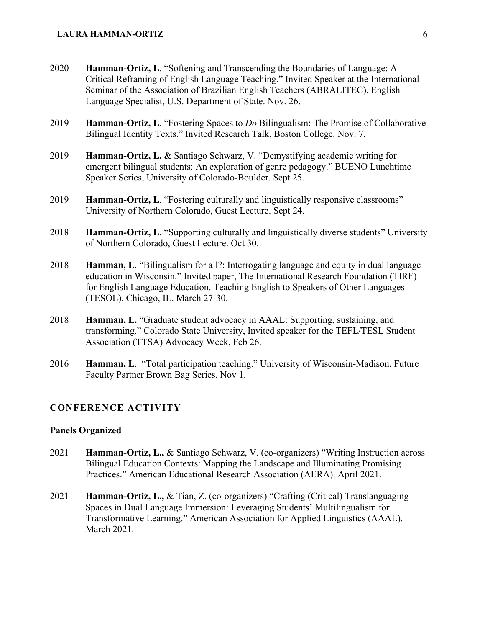- 2020 **Hamman-Ortiz, L**. "Softening and Transcending the Boundaries of Language: A Critical Reframing of English Language Teaching." Invited Speaker at the International Seminar of the Association of Brazilian English Teachers (ABRALITEC). English Language Specialist, U.S. Department of State. Nov. 26.
- 2019 **Hamman-Ortiz, L**. "Fostering Spaces to *Do* Bilingualism: The Promise of Collaborative Bilingual Identity Texts." Invited Research Talk, Boston College. Nov. 7.
- 2019 **Hamman-Ortiz, L.** & Santiago Schwarz, V. "Demystifying academic writing for emergent bilingual students: An exploration of genre pedagogy." BUENO Lunchtime Speaker Series, University of Colorado-Boulder. Sept 25.
- 2019 **Hamman-Ortiz, L**. "Fostering culturally and linguistically responsive classrooms" University of Northern Colorado, Guest Lecture. Sept 24.
- 2018 **Hamman-Ortiz, L**. "Supporting culturally and linguistically diverse students" University of Northern Colorado, Guest Lecture. Oct 30.
- 2018 **Hamman, L**. "Bilingualism for all?: Interrogating language and equity in dual language education in Wisconsin." Invited paper, The International Research Foundation (TIRF) for English Language Education. Teaching English to Speakers of Other Languages (TESOL). Chicago, IL. March 27-30.
- 2018 **Hamman, L.** "Graduate student advocacy in AAAL: Supporting, sustaining, and transforming." Colorado State University, Invited speaker for the TEFL/TESL Student Association (TTSA) Advocacy Week, Feb 26.
- 2016 **Hamman, L**. "Total participation teaching." University of Wisconsin-Madison, Future Faculty Partner Brown Bag Series. Nov 1.

#### **CONFERENCE ACTIVITY**

#### **Panels Organized**

- 2021 **Hamman-Ortiz, L.,** & Santiago Schwarz, V. (co-organizers) "Writing Instruction across Bilingual Education Contexts: Mapping the Landscape and Illuminating Promising Practices." American Educational Research Association (AERA). April 2021.
- 2021 **Hamman-Ortiz, L.,** & Tian, Z. (co-organizers) "Crafting (Critical) Translanguaging Spaces in Dual Language Immersion: Leveraging Students' Multilingualism for Transformative Learning." American Association for Applied Linguistics (AAAL). March 2021.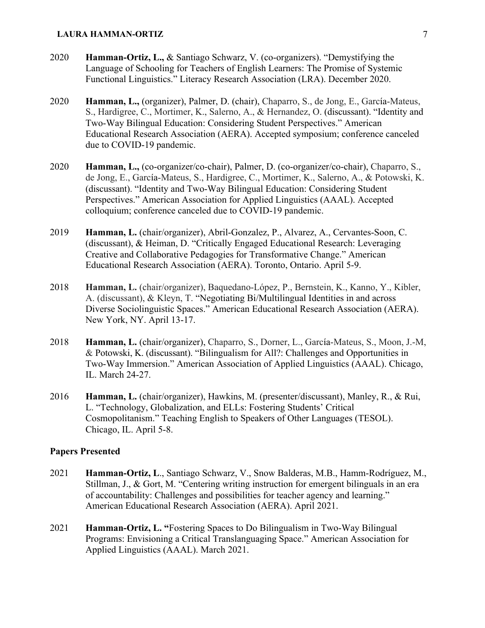- 2020 **Hamman-Ortiz, L.,** & Santiago Schwarz, V. (co-organizers). "Demystifying the Language of Schooling for Teachers of English Learners: The Promise of Systemic Functional Linguistics." Literacy Research Association (LRA). December 2020.
- 2020 **Hamman, L.,** (organizer), Palmer, D. (chair), Chaparro, S., de Jong, E., García-Mateus, S., Hardigree, C., Mortimer, K., Salerno, A., & Hernandez, O. (discussant). "Identity and Two-Way Bilingual Education: Considering Student Perspectives." American Educational Research Association (AERA). Accepted symposium; conference canceled due to COVID-19 pandemic.
- 2020 **Hamman, L.,** (co-organizer/co-chair), Palmer, D. (co-organizer/co-chair), Chaparro, S., de Jong, E., García-Mateus, S., Hardigree, C., Mortimer, K., Salerno, A., & Potowski, K. (discussant). "Identity and Two-Way Bilingual Education: Considering Student Perspectives." American Association for Applied Linguistics (AAAL). Accepted colloquium; conference canceled due to COVID-19 pandemic.
- 2019 **Hamman, L.** (chair/organizer), Abril-Gonzalez, P., Alvarez, A., Cervantes-Soon, C. (discussant), & Heiman, D. "Critically Engaged Educational Research: Leveraging Creative and Collaborative Pedagogies for Transformative Change." American Educational Research Association (AERA). Toronto, Ontario. April 5-9.
- 2018 **Hamman, L.** (chair/organizer), Baquedano-López, P., Bernstein, K., Kanno, Y., Kibler, A. (discussant), & Kleyn, T. "Negotiating Bi/Multilingual Identities in and across Diverse Sociolinguistic Spaces." American Educational Research Association (AERA). New York, NY. April 13-17.
- 2018 **Hamman, L.** (chair/organizer), Chaparro, S., Dorner, L., García-Mateus, S., Moon, J.-M, & Potowski, K. (discussant). "Bilingualism for All?: Challenges and Opportunities in Two-Way Immersion." American Association of Applied Linguistics (AAAL). Chicago, IL. March 24-27.
- 2016 **Hamman, L.** (chair/organizer), Hawkins, M. (presenter/discussant), Manley, R., & Rui, L. "Technology, Globalization, and ELLs: Fostering Students' Critical Cosmopolitanism." Teaching English to Speakers of Other Languages (TESOL). Chicago, IL. April 5-8.

# **Papers Presented**

- 2021 **Hamman-Ortiz, L**., Santiago Schwarz, V., Snow Balderas, M.B., Hamm-Rodríguez, M., Stillman, J., & Gort, M. "Centering writing instruction for emergent bilinguals in an era of accountability: Challenges and possibilities for teacher agency and learning." American Educational Research Association (AERA). April 2021.
- 2021 **Hamman-Ortiz, L. "**Fostering Spaces to Do Bilingualism in Two-Way Bilingual Programs: Envisioning a Critical Translanguaging Space." American Association for Applied Linguistics (AAAL). March 2021.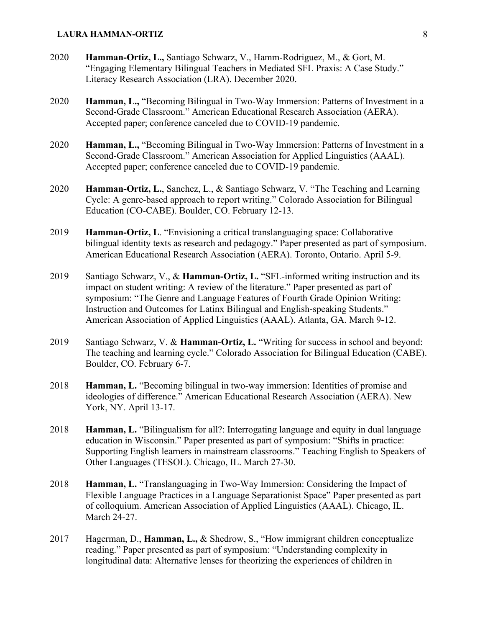- 2020 **Hamman-Ortiz, L.,** Santiago Schwarz, V., Hamm-Rodriguez, M., & Gort, M. "Engaging Elementary Bilingual Teachers in Mediated SFL Praxis: A Case Study." Literacy Research Association (LRA). December 2020.
- 2020 **Hamman, L.,** "Becoming Bilingual in Two-Way Immersion: Patterns of Investment in a Second-Grade Classroom." American Educational Research Association (AERA). Accepted paper; conference canceled due to COVID-19 pandemic.
- 2020 **Hamman, L.,** "Becoming Bilingual in Two-Way Immersion: Patterns of Investment in a Second-Grade Classroom." American Association for Applied Linguistics (AAAL). Accepted paper; conference canceled due to COVID-19 pandemic.
- 2020 **Hamman-Ortiz, L.**, Sanchez, L., & Santiago Schwarz, V. "The Teaching and Learning Cycle: A genre-based approach to report writing." Colorado Association for Bilingual Education (CO-CABE). Boulder, CO. February 12-13.
- 2019 **Hamman-Ortiz, L**. "Envisioning a critical translanguaging space: Collaborative bilingual identity texts as research and pedagogy." Paper presented as part of symposium. American Educational Research Association (AERA). Toronto, Ontario. April 5-9.
- 2019 Santiago Schwarz, V., & **Hamman-Ortiz, L.** "SFL-informed writing instruction and its impact on student writing: A review of the literature." Paper presented as part of symposium: "The Genre and Language Features of Fourth Grade Opinion Writing: Instruction and Outcomes for Latinx Bilingual and English-speaking Students." American Association of Applied Linguistics (AAAL). Atlanta, GA. March 9-12.
- 2019 Santiago Schwarz, V. & **Hamman-Ortiz, L.** "Writing for success in school and beyond: The teaching and learning cycle." Colorado Association for Bilingual Education (CABE). Boulder, CO. February 6-7.
- 2018 **Hamman, L.** "Becoming bilingual in two-way immersion: Identities of promise and ideologies of difference." American Educational Research Association (AERA). New York, NY. April 13-17.
- 2018 **Hamman, L.** "Bilingualism for all?: Interrogating language and equity in dual language education in Wisconsin." Paper presented as part of symposium: "Shifts in practice: Supporting English learners in mainstream classrooms." Teaching English to Speakers of Other Languages (TESOL). Chicago, IL. March 27-30.
- 2018 **Hamman, L.** "Translanguaging in Two-Way Immersion: Considering the Impact of Flexible Language Practices in a Language Separationist Space" Paper presented as part of colloquium. American Association of Applied Linguistics (AAAL). Chicago, IL. March 24-27.
- 2017 Hagerman, D., **Hamman, L.,** & Shedrow, S., "How immigrant children conceptualize reading." Paper presented as part of symposium: "Understanding complexity in longitudinal data: Alternative lenses for theorizing the experiences of children in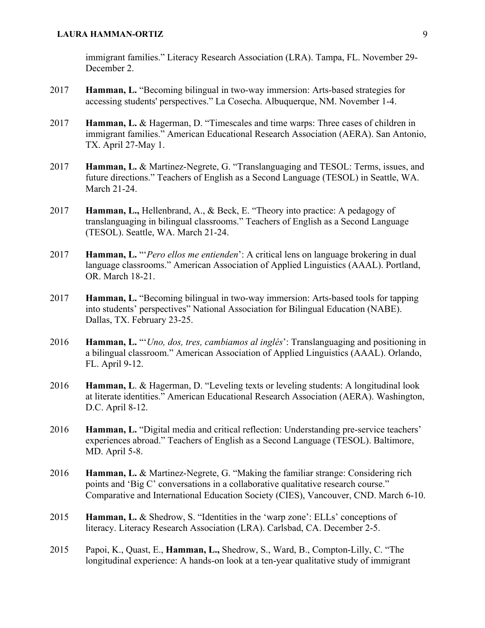immigrant families." Literacy Research Association (LRA). Tampa, FL. November 29- December 2.

- 2017 **Hamman, L.** "Becoming bilingual in two-way immersion: Arts-based strategies for accessing students' perspectives." La Cosecha. Albuquerque, NM. November 1-4.
- 2017 **Hamman, L.** & Hagerman, D. "Timescales and time warps: Three cases of children in immigrant families." American Educational Research Association (AERA). San Antonio, TX. April 27-May 1.
- 2017 **Hamman, L.** & Martinez-Negrete, G. "Translanguaging and TESOL: Terms, issues, and future directions." Teachers of English as a Second Language (TESOL) in Seattle, WA. March 21-24.
- 2017 **Hamman, L.,** Hellenbrand, A., & Beck, E. "Theory into practice: A pedagogy of translanguaging in bilingual classrooms." Teachers of English as a Second Language (TESOL). Seattle, WA. March 21-24.
- 2017 **Hamman, L.** "'*Pero ellos me entienden*': A critical lens on language brokering in dual language classrooms." American Association of Applied Linguistics (AAAL). Portland, OR. March 18-21.
- 2017 **Hamman, L.** "Becoming bilingual in two-way immersion: Arts-based tools for tapping into students' perspectives" National Association for Bilingual Education (NABE). Dallas, TX. February 23-25.
- 2016 **Hamman, L.** "'*Uno, dos, tres, cambiamos al inglés*': Translanguaging and positioning in a bilingual classroom." American Association of Applied Linguistics (AAAL). Orlando, FL. April 9-12.
- 2016 **Hamman, L**. & Hagerman, D. "Leveling texts or leveling students: A longitudinal look at literate identities." American Educational Research Association (AERA). Washington, D.C. April 8-12.
- 2016 **Hamman, L.** "Digital media and critical reflection: Understanding pre-service teachers' experiences abroad." Teachers of English as a Second Language (TESOL). Baltimore, MD. April 5-8.
- 2016 **Hamman, L.** & Martinez-Negrete, G. "Making the familiar strange: Considering rich points and 'Big C' conversations in a collaborative qualitative research course." Comparative and International Education Society (CIES), Vancouver, CND. March 6-10.
- 2015 **Hamman, L.** & Shedrow, S. "Identities in the 'warp zone': ELLs' conceptions of literacy. Literacy Research Association (LRA). Carlsbad, CA. December 2-5.
- 2015 Papoi, K., Quast, E., **Hamman, L.,** Shedrow, S., Ward, B., Compton-Lilly, C. "The longitudinal experience: A hands-on look at a ten-year qualitative study of immigrant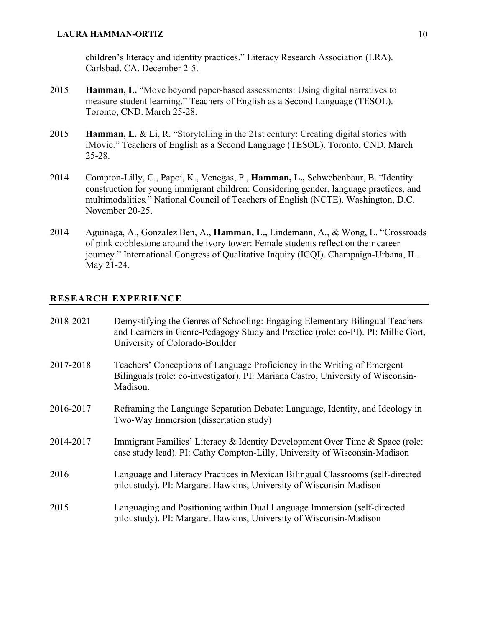children's literacy and identity practices." Literacy Research Association (LRA). Carlsbad, CA. December 2-5.

- 2015 **Hamman, L.** "Move beyond paper-based assessments: Using digital narratives to measure student learning." Teachers of English as a Second Language (TESOL). Toronto, CND. March 25-28.
- 2015 **Hamman, L.** & Li, R. "Storytelling in the 21st century: Creating digital stories with iMovie." Teachers of English as a Second Language (TESOL). Toronto, CND. March 25-28.
- 2014 Compton-Lilly, C., Papoi, K., Venegas, P., **Hamman, L.,** Schwebenbaur, B. "Identity construction for young immigrant children: Considering gender, language practices, and multimodalities*.*" National Council of Teachers of English (NCTE). Washington, D.C. November 20-25.
- 2014 Aguinaga, A., Gonzalez Ben, A., **Hamman, L.,** Lindemann, A., & Wong, L. "Crossroads of pink cobblestone around the ivory tower: Female students reflect on their career journey*.*" International Congress of Qualitative Inquiry (ICQI). Champaign-Urbana, IL. May 21-24.

# **RESEARCH EXPERIENCE**

| 2018-2021 | Demystifying the Genres of Schooling: Engaging Elementary Bilingual Teachers<br>and Learners in Genre-Pedagogy Study and Practice (role: co-PI). PI: Millie Gort,<br>University of Colorado-Boulder |
|-----------|-----------------------------------------------------------------------------------------------------------------------------------------------------------------------------------------------------|
| 2017-2018 | Teachers' Conceptions of Language Proficiency in the Writing of Emergent<br>Bilinguals (role: co-investigator). PI: Mariana Castro, University of Wisconsin-<br>Madison.                            |
| 2016-2017 | Reframing the Language Separation Debate: Language, Identity, and Ideology in<br>Two-Way Immersion (dissertation study)                                                                             |
| 2014-2017 | Immigrant Families' Literacy & Identity Development Over Time & Space (role:<br>case study lead). PI: Cathy Compton-Lilly, University of Wisconsin-Madison                                          |
| 2016      | Language and Literacy Practices in Mexican Bilingual Classrooms (self-directed<br>pilot study). PI: Margaret Hawkins, University of Wisconsin-Madison                                               |
| 2015      | Languaging and Positioning within Dual Language Immersion (self-directed<br>pilot study). PI: Margaret Hawkins, University of Wisconsin-Madison                                                     |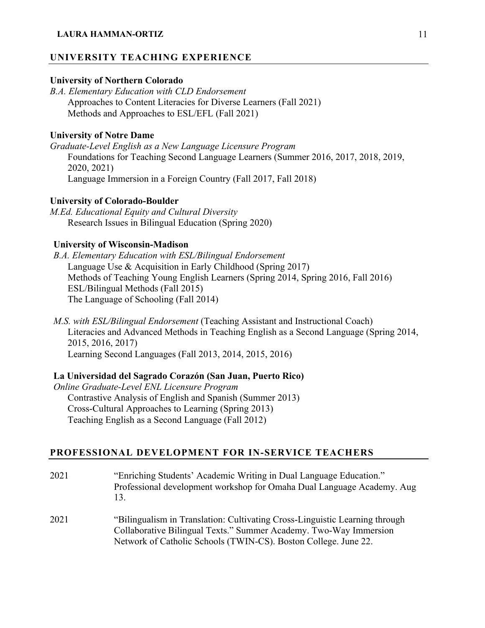## **UNIVERSITY TEACHING EXPERIENCE**

## **University of Northern Colorado**

*B.A. Elementary Education with CLD Endorsement* Approaches to Content Literacies for Diverse Learners (Fall 2021) Methods and Approaches to ESL/EFL (Fall 2021)

# **University of Notre Dame**

*Graduate-Level English as a New Language Licensure Program* Foundations for Teaching Second Language Learners (Summer 2016, 2017, 2018, 2019, 2020, 2021) Language Immersion in a Foreign Country (Fall 2017, Fall 2018)

#### **University of Colorado-Boulder**

*M.Ed. Educational Equity and Cultural Diversity* Research Issues in Bilingual Education (Spring 2020)

# **University of Wisconsin-Madison**

*B.A. Elementary Education with ESL/Bilingual Endorsement* Language Use & Acquisition in Early Childhood (Spring 2017) Methods of Teaching Young English Learners (Spring 2014, Spring 2016, Fall 2016) ESL/Bilingual Methods (Fall 2015) The Language of Schooling (Fall 2014)

*M.S. with ESL/Bilingual Endorsement* (Teaching Assistant and Instructional Coach) Literacies and Advanced Methods in Teaching English as a Second Language (Spring 2014, 2015, 2016, 2017) Learning Second Languages (Fall 2013, 2014, 2015, 2016)

## **La Universidad del Sagrado Corazón (San Juan, Puerto Rico)**

*Online Graduate-Level ENL Licensure Program* Contrastive Analysis of English and Spanish (Summer 2013) Cross-Cultural Approaches to Learning (Spring 2013) Teaching English as a Second Language (Fall 2012)

## **PROFESSIONAL DEVELOPMENT FOR IN-SERVICE TEACHERS**

- 2021 "Enriching Students' Academic Writing in Dual Language Education." Professional development workshop for Omaha Dual Language Academy. Aug 13.
- 2021 "Bilingualism in Translation: Cultivating Cross-Linguistic Learning through Collaborative Bilingual Texts." Summer Academy. Two-Way Immersion Network of Catholic Schools (TWIN-CS). Boston College. June 22.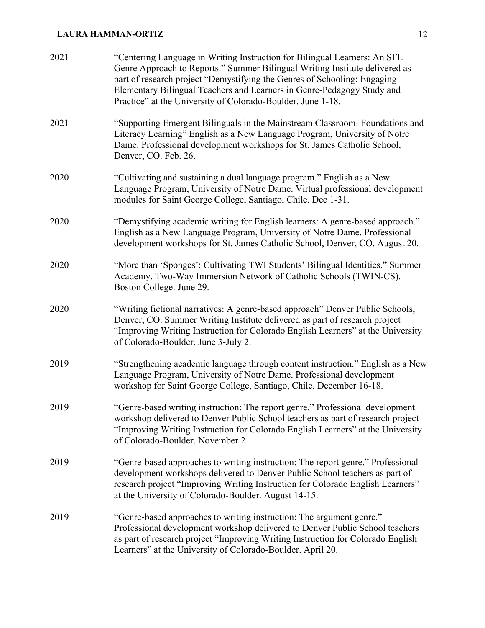| 2021 | "Centering Language in Writing Instruction for Bilingual Learners: An SFL<br>Genre Approach to Reports." Summer Bilingual Writing Institute delivered as<br>part of research project "Demystifying the Genres of Schooling: Engaging<br>Elementary Bilingual Teachers and Learners in Genre-Pedagogy Study and<br>Practice" at the University of Colorado-Boulder. June 1-18. |
|------|-------------------------------------------------------------------------------------------------------------------------------------------------------------------------------------------------------------------------------------------------------------------------------------------------------------------------------------------------------------------------------|
| 2021 | "Supporting Emergent Bilinguals in the Mainstream Classroom: Foundations and<br>Literacy Learning" English as a New Language Program, University of Notre<br>Dame. Professional development workshops for St. James Catholic School,<br>Denver, CO. Feb. 26.                                                                                                                  |
| 2020 | "Cultivating and sustaining a dual language program." English as a New<br>Language Program, University of Notre Dame. Virtual professional development<br>modules for Saint George College, Santiago, Chile. Dec 1-31.                                                                                                                                                        |
| 2020 | "Demystifying academic writing for English learners: A genre-based approach."<br>English as a New Language Program, University of Notre Dame. Professional<br>development workshops for St. James Catholic School, Denver, CO. August 20.                                                                                                                                     |
| 2020 | "More than 'Sponges': Cultivating TWI Students' Bilingual Identities." Summer<br>Academy. Two-Way Immersion Network of Catholic Schools (TWIN-CS).<br>Boston College. June 29.                                                                                                                                                                                                |
| 2020 | "Writing fictional narratives: A genre-based approach" Denver Public Schools,<br>Denver, CO. Summer Writing Institute delivered as part of research project<br>"Improving Writing Instruction for Colorado English Learners" at the University<br>of Colorado-Boulder. June 3-July 2.                                                                                         |
| 2019 | "Strengthening academic language through content instruction." English as a New<br>Language Program, University of Notre Dame. Professional development<br>workshop for Saint George College, Santiago, Chile. December 16-18.                                                                                                                                                |
| 2019 | "Genre-based writing instruction: The report genre." Professional development<br>workshop delivered to Denver Public School teachers as part of research project<br>"Improving Writing Instruction for Colorado English Learners" at the University<br>of Colorado-Boulder. November 2                                                                                        |
| 2019 | "Genre-based approaches to writing instruction: The report genre." Professional<br>development workshops delivered to Denver Public School teachers as part of<br>research project "Improving Writing Instruction for Colorado English Learners"<br>at the University of Colorado-Boulder. August 14-15.                                                                      |
| 2019 | "Genre-based approaches to writing instruction: The argument genre."<br>Professional development workshop delivered to Denver Public School teachers<br>as part of research project "Improving Writing Instruction for Colorado English<br>Learners" at the University of Colorado-Boulder. April 20.                                                                         |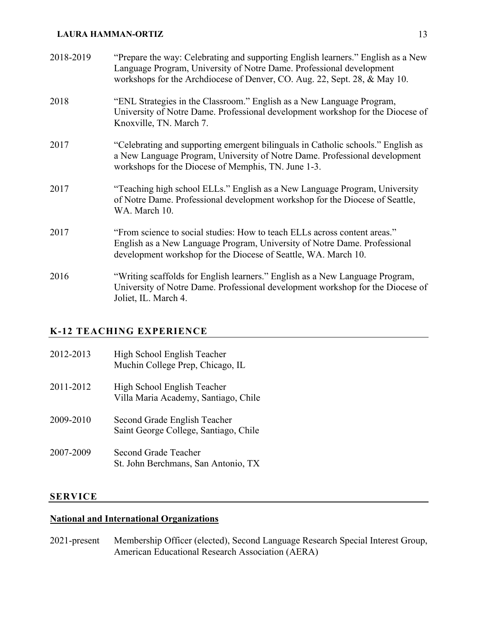| 2018-2019 | "Prepare the way: Celebrating and supporting English learners." English as a New<br>Language Program, University of Notre Dame. Professional development<br>workshops for the Archdiocese of Denver, CO. Aug. 22, Sept. 28, & May 10. |
|-----------|---------------------------------------------------------------------------------------------------------------------------------------------------------------------------------------------------------------------------------------|
| 2018      | "ENL Strategies in the Classroom." English as a New Language Program,<br>University of Notre Dame. Professional development workshop for the Diocese of<br>Knoxville, TN. March 7.                                                    |
| 2017      | "Celebrating and supporting emergent bilinguals in Catholic schools." English as<br>a New Language Program, University of Notre Dame. Professional development<br>workshops for the Diocese of Memphis, TN. June 1-3.                 |
| 2017      | "Teaching high school ELLs." English as a New Language Program, University<br>of Notre Dame. Professional development workshop for the Diocese of Seattle,<br>WA. March 10.                                                           |
| 2017      | "From science to social studies: How to teach ELLs across content areas."<br>English as a New Language Program, University of Notre Dame. Professional<br>development workshop for the Diocese of Seattle, WA. March 10.              |
| 2016      | "Writing scaffolds for English learners." English as a New Language Program,<br>University of Notre Dame. Professional development workshop for the Diocese of<br>Joliet, IL. March 4.                                                |

# **K-12 TEACHING EXPERIENCE**

| 2012-2013 | High School English Teacher<br>Muchin College Prep, Chicago, IL       |
|-----------|-----------------------------------------------------------------------|
| 2011-2012 | High School English Teacher<br>Villa Maria Academy, Santiago, Chile   |
| 2009-2010 | Second Grade English Teacher<br>Saint George College, Santiago, Chile |
| 2007-2009 | Second Grade Teacher<br>St. John Berchmans, San Antonio, TX           |

# **SERVICE**

# **National and International Organizations**

2021-present Membership Officer (elected), Second Language Research Special Interest Group, American Educational Research Association (AERA)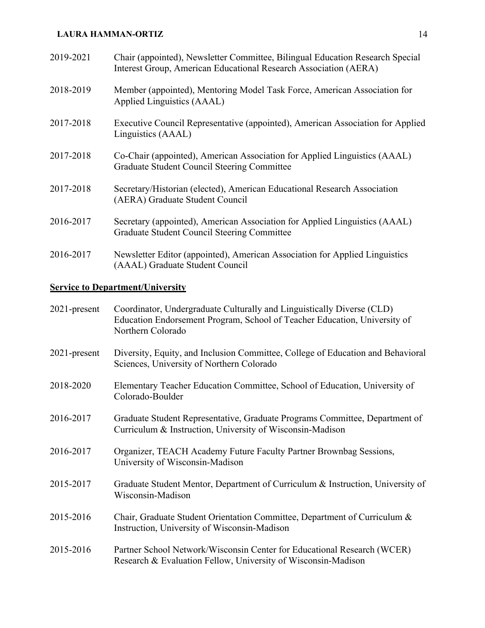| 2019-2021 | Chair (appointed), Newsletter Committee, Bilingual Education Research Special<br>Interest Group, American Educational Research Association (AERA) |
|-----------|---------------------------------------------------------------------------------------------------------------------------------------------------|
| 2018-2019 | Member (appointed), Mentoring Model Task Force, American Association for<br>Applied Linguistics (AAAL)                                            |
| 2017-2018 | Executive Council Representative (appointed), American Association for Applied<br>Linguistics (AAAL)                                              |
| 2017-2018 | Co-Chair (appointed), American Association for Applied Linguistics (AAAL)<br>Graduate Student Council Steering Committee                          |
| 2017-2018 | Secretary/Historian (elected), American Educational Research Association<br>(AERA) Graduate Student Council                                       |
| 2016-2017 | Secretary (appointed), American Association for Applied Linguistics (AAAL)<br>Graduate Student Council Steering Committee                         |
| 2016-2017 | Newsletter Editor (appointed), American Association for Applied Linguistics<br>(AAAL) Graduate Student Council                                    |

# **Service to Department/University**

| $2021$ -present | Coordinator, Undergraduate Culturally and Linguistically Diverse (CLD)<br>Education Endorsement Program, School of Teacher Education, University of<br>Northern Colorado |
|-----------------|--------------------------------------------------------------------------------------------------------------------------------------------------------------------------|
| $2021$ -present | Diversity, Equity, and Inclusion Committee, College of Education and Behavioral<br>Sciences, University of Northern Colorado                                             |
| 2018-2020       | Elementary Teacher Education Committee, School of Education, University of<br>Colorado-Boulder                                                                           |
| 2016-2017       | Graduate Student Representative, Graduate Programs Committee, Department of<br>Curriculum & Instruction, University of Wisconsin-Madison                                 |
| 2016-2017       | Organizer, TEACH Academy Future Faculty Partner Brownbag Sessions,<br>University of Wisconsin-Madison                                                                    |
| 2015-2017       | Graduate Student Mentor, Department of Curriculum & Instruction, University of<br>Wisconsin-Madison                                                                      |
| 2015-2016       | Chair, Graduate Student Orientation Committee, Department of Curriculum &<br>Instruction, University of Wisconsin-Madison                                                |
| 2015-2016       | Partner School Network/Wisconsin Center for Educational Research (WCER)<br>Research & Evaluation Fellow, University of Wisconsin-Madison                                 |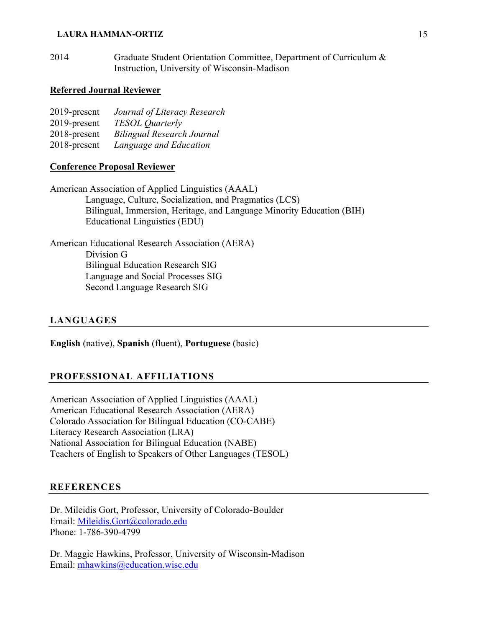2014 Graduate Student Orientation Committee, Department of Curriculum & Instruction, University of Wisconsin-Madison

## **Referred Journal Reviewer**

| 2019-present | Journal of Literacy Research      |
|--------------|-----------------------------------|
| 2019-present | <b>TESOL</b> Quarterly            |
| 2018-present | <b>Bilingual Research Journal</b> |
| 2018-present | Language and Education            |

#### **Conference Proposal Reviewer**

American Association of Applied Linguistics (AAAL) Language, Culture, Socialization, and Pragmatics (LCS) Bilingual, Immersion, Heritage, and Language Minority Education (BIH) Educational Linguistics (EDU)

American Educational Research Association (AERA) Division G Bilingual Education Research SIG Language and Social Processes SIG Second Language Research SIG

# **LANGUAGES**

**English** (native), **Spanish** (fluent), **Portuguese** (basic)

# **PROFESSIONAL AFFILIATIONS**

American Association of Applied Linguistics (AAAL) American Educational Research Association (AERA) Colorado Association for Bilingual Education (CO-CABE) Literacy Research Association (LRA) National Association for Bilingual Education (NABE) Teachers of English to Speakers of Other Languages (TESOL)

# **REFERENCES**

Dr. Mileidis Gort, Professor, University of Colorado-Boulder Email: Mileidis.Gort@colorado.edu Phone: 1-786-390-4799

Dr. Maggie Hawkins, Professor, University of Wisconsin-Madison Email: mhawkins@education.wisc.edu